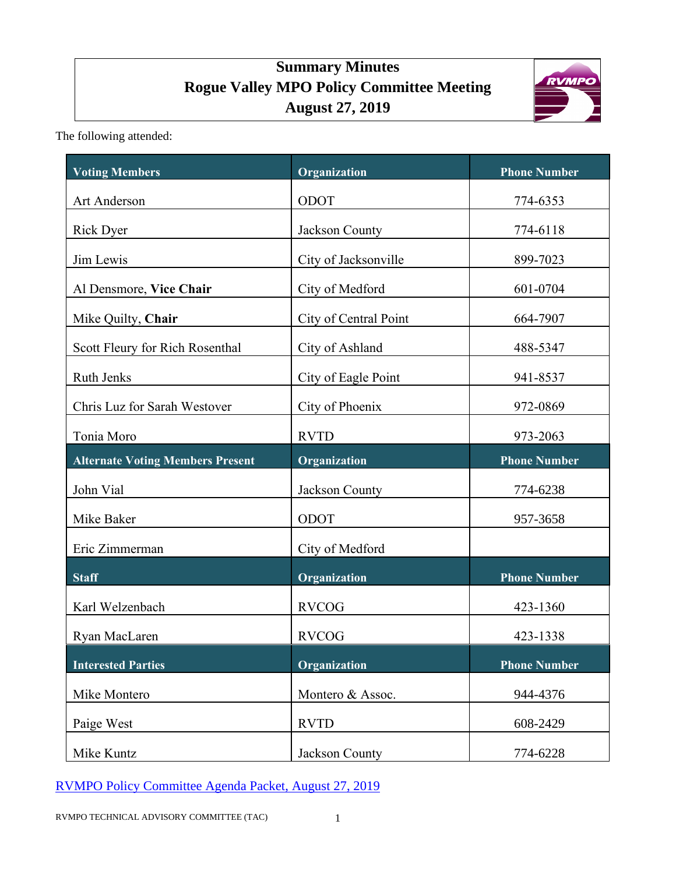# **Summary Minutes Rogue Valley MPO Policy Committee Meeting August 27, 2019**



The following attended:

| <b>Voting Members</b>                   | Organization          | <b>Phone Number</b> |
|-----------------------------------------|-----------------------|---------------------|
| Art Anderson                            | ODOT                  | 774-6353            |
| <b>Rick Dyer</b>                        | Jackson County        | 774-6118            |
| Jim Lewis                               | City of Jacksonville  | 899-7023            |
| Al Densmore, Vice Chair                 | City of Medford       | 601-0704            |
| Mike Quilty, Chair                      | City of Central Point | 664-7907            |
| Scott Fleury for Rich Rosenthal         | City of Ashland       | 488-5347            |
| Ruth Jenks                              | City of Eagle Point   | 941-8537            |
| Chris Luz for Sarah Westover            | City of Phoenix       | 972-0869            |
| Tonia Moro                              | <b>RVTD</b>           | 973-2063            |
| <b>Alternate Voting Members Present</b> | Organization          | <b>Phone Number</b> |
| John Vial                               | Jackson County        | 774-6238            |
| Mike Baker                              | ODOT                  | 957-3658            |
| Eric Zimmerman                          | City of Medford       |                     |
| <b>Staff</b>                            | Organization          | <b>Phone Number</b> |
| Karl Welzenbach                         | <b>RVCOG</b>          | 423-1360            |
| Ryan MacLaren                           | <b>RVCOG</b>          | 423-1338            |
| <b>Interested Parties</b>               | Organization          | <b>Phone Number</b> |
| Mike Montero                            | Montero & Assoc.      | 944-4376            |
| Paige West                              | <b>RVTD</b>           | 608-2429            |
| Mike Kuntz                              | Jackson County        | 774-6228            |

RVMPO Policy Committee [Agenda Packet, August 27, 2019](https://rvmpo.org/images/committees/policy-committee/2019/Agenda_Packets/2019-08-27_RVMPO%20PolComm%20Agenda.pdf)